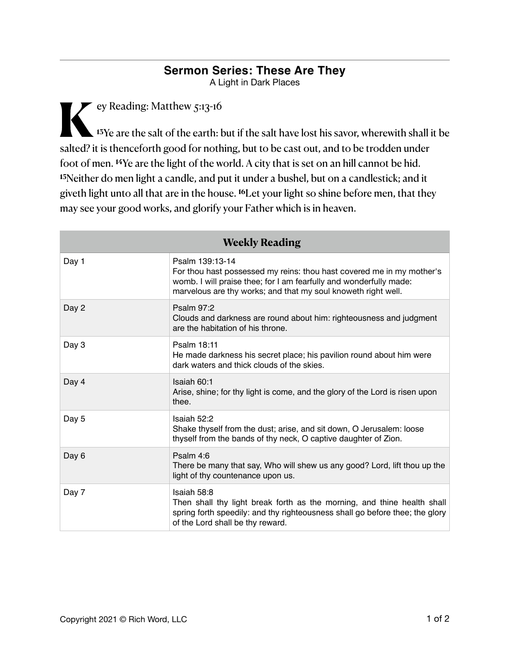## **Sermon Series: These Are They**

A Light in Dark Places

ey Reading: Matthew 5:13-16 **<sup>13</sup>**Ye are the salt of the earth: but if the salt have lost his savor, wherewith shall it be salted? it is thenceforth good for nothing, but to be cast out, and to be trodden under foot of men. **14**Ye are the light of the world. A city that is set on an hill cannot be hid. **<sup>15</sup>**Neither do men light a candle, and put it under a bushel, but on a candlestick; and it giveth light unto all that are in the house. **16**Let your light so shine before men, that they may see your good works, and glorify your Father which is in heaven.

| <b>Weekly Reading</b> |                                                                                                                                                                                                                                 |
|-----------------------|---------------------------------------------------------------------------------------------------------------------------------------------------------------------------------------------------------------------------------|
| Day 1                 | Psalm 139:13-14<br>For thou hast possessed my reins: thou hast covered me in my mother's<br>womb. I will praise thee; for I am fearfully and wonderfully made:<br>marvelous are thy works; and that my soul knoweth right well. |
| Day 2                 | <b>Psalm 97:2</b><br>Clouds and darkness are round about him: righteousness and judgment<br>are the habitation of his throne.                                                                                                   |
| Day 3                 | Psalm 18:11<br>He made darkness his secret place; his pavilion round about him were<br>dark waters and thick clouds of the skies.                                                                                               |
| Day 4                 | Isaiah 60:1<br>Arise, shine; for thy light is come, and the glory of the Lord is risen upon<br>thee.                                                                                                                            |
| Day 5                 | Isaiah 52:2<br>Shake thyself from the dust; arise, and sit down, O Jerusalem: loose<br>thyself from the bands of thy neck, O captive daughter of Zion.                                                                          |
| Day 6                 | Psalm 4:6<br>There be many that say, Who will shew us any good? Lord, lift thou up the<br>light of thy countenance upon us.                                                                                                     |
| Day 7                 | Isaiah 58:8<br>Then shall thy light break forth as the morning, and thine health shall<br>spring forth speedily: and thy righteousness shall go before thee; the glory<br>of the Lord shall be thy reward.                      |